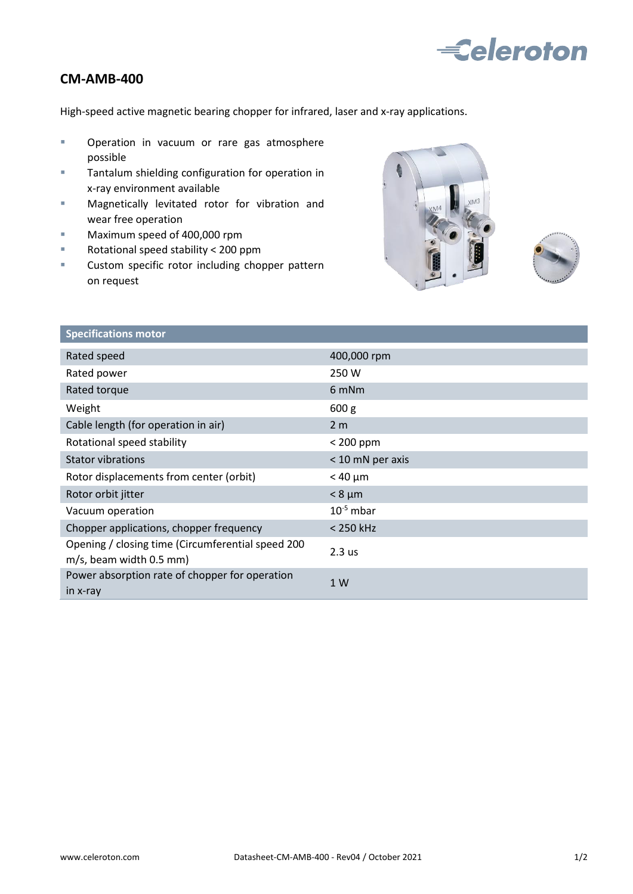

## **CM-AMB-400**

High-speed active magnetic bearing chopper for infrared, laser and x-ray applications.

- **•** Operation in vacuum or rare gas atmosphere possible
- **Tantalum shielding configuration for operation in** x-ray environment available
- **Magnetically levitated rotor for vibration and** wear free operation
- **Maximum speed of 400,000 rpm**
- Rotational speed stability < 200 ppm
- **EXECUSTOM SPECIFIC rotor including chopper pattern** on request





| <b>Specifications motor</b>                                                  |                  |
|------------------------------------------------------------------------------|------------------|
| Rated speed                                                                  | 400,000 rpm      |
| Rated power                                                                  | 250 W            |
| Rated torque                                                                 | 6 mNm            |
| Weight                                                                       | 600 <sub>g</sub> |
| Cable length (for operation in air)                                          | 2 <sub>m</sub>   |
| Rotational speed stability                                                   | $< 200$ ppm      |
| <b>Stator vibrations</b>                                                     | < 10 mN per axis |
| Rotor displacements from center (orbit)                                      | $<$ 40 $\mu$ m   |
| Rotor orbit jitter                                                           | $< 8 \mu m$      |
| Vacuum operation                                                             | $10^{-5}$ mbar   |
| Chopper applications, chopper frequency                                      | $<$ 250 kHz      |
| Opening / closing time (Circumferential speed 200<br>m/s, beam width 0.5 mm) | 2.3us            |
| Power absorption rate of chopper for operation<br>in x-ray                   | 1W               |